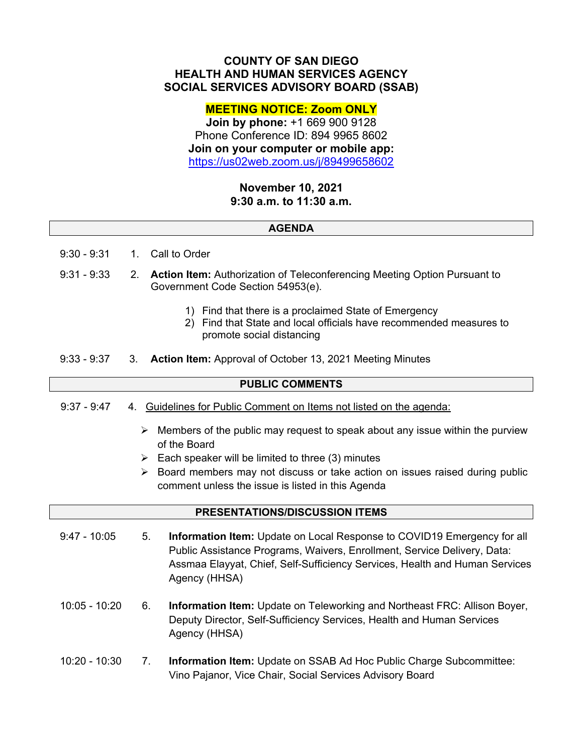# **COUNTY OF SAN DIEGO HEALTH AND HUMAN SERVICES AGENCY SOCIAL SERVICES ADVISORY BOARD (SSAB)**

# **MEETING NOTICE: Zoom ONLY**

**Join by phone:** +1 669 900 9128 Phone Conference ID: 894 9965 8602 **Join on your computer or mobile app:**  https://us02web.zoom.us/j/89499658602

## **November 10, 2021 9:30 a.m. to 11:30 a.m.**

#### **AGENDA**

- 9:30 9:31 1. Call to Order
- 9:31 9:33 2. **Action Item:** Authorization of Teleconferencing Meeting Option Pursuant to Government Code Section 54953(e).
	- 1) Find that there is a proclaimed State of Emergency
	- 2) Find that State and local officials have recommended measures to promote social distancing
- 9:33 9:37 3. **Action Item:** Approval of October 13, 2021 Meeting Minutes

## **PUBLIC COMMENTS**

- 9:37 9:47 4. Guidelines for Public Comment on Items not listed on the agenda:
	- $\triangleright$  Members of the public may request to speak about any issue within the purview of the Board
	- $\triangleright$  Each speaker will be limited to three (3) minutes
	- $\triangleright$  Board members may not discuss or take action on issues raised during public comment unless the issue is listed in this Agenda

#### **PRESENTATIONS/DISCUSSION ITEMS**

- 9:47 10:05 5. **Information Item:** Update on Local Response to COVID19 Emergency for all Public Assistance Programs, Waivers, Enrollment, Service Delivery, Data: Assmaa Elayyat, Chief, Self-Sufficiency Services, Health and Human Services Agency (HHSA)
- 10:05 10:20 6. **Information Item:** Update on Teleworking and Northeast FRC: Allison Boyer, Deputy Director, Self-Sufficiency Services, Health and Human Services Agency (HHSA)
- 10:20 10:30 7. **Information Item:** Update on SSAB Ad Hoc Public Charge Subcommittee: Vino Pajanor, Vice Chair, Social Services Advisory Board